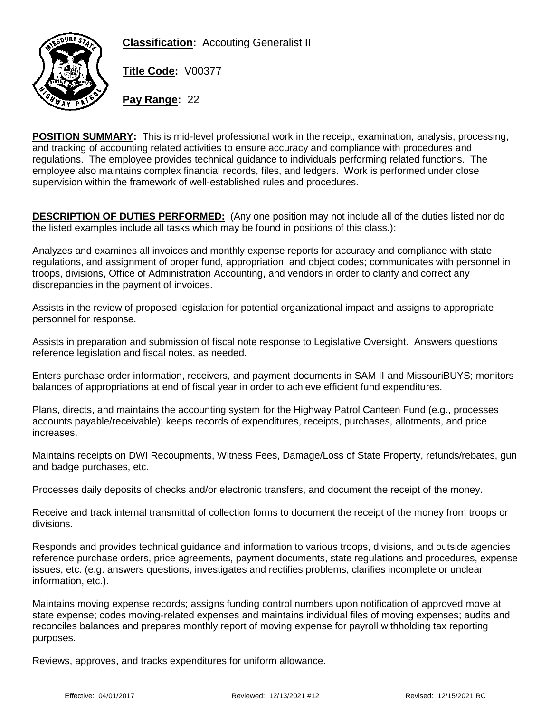



**Title Code:** V00377

**Pay Range:** 22

**POSITION SUMMARY: This is mid-level professional work in the receipt, examination, analysis, processing, and tracking of accounting related activities to ensure accuracy and compliance with procedures and regulations. The employee provides technical guidance to individuals performing related functions. The employee also maintains complex financial records, files, and ledgers. Work is performed under close supervision within the framework of well-established rules and procedures.**

**DESCRIPTION OF DUTIES PERFORMED:** (Any one position may not include all of the duties listed nor do the listed examples include all tasks which may be found in positions of this class.):

**Analyzes and examines all invoices and monthly expense reports for accuracy and compliance with state regulations, and assignment of proper fund, appropriation, and object codes; communicates with personnel in troops, divisions, Office of Administration Accounting, and vendors in order to clarify and correct any discrepancies in the payment of invoices.**

**Assists in the review of proposed legislation for potential organizational impact and assigns to appropriate personnel for response.**

**Assists in preparation and submission of fiscal note response to Legislative Oversight. Answers questions reference legislation and fiscal notes, as needed.**

**Enters purchase order information, receivers, and payment documents in SAM II and MissouriBUYS; monitors balances of appropriations at end of fiscal year in order to achieve efficient fund expenditures.**

**Plans, directs, and maintains the accounting system for the Highway Patrol Canteen Fund (e.g., processes accounts payable/receivable); keeps records of expenditures, receipts, purchases, allotments, and price increases.**

**Maintains receipts on DWI Recoupments, Witness Fees, Damage/Loss of State Property, refunds/rebates, gun and badge purchases, etc.**

**Processes daily deposits of checks and/or electronic transfers, and document the receipt of the money.**

**Receive and track internal transmittal of collection forms to document the receipt of the money from troops or divisions.**

**Responds and provides technical guidance and information to various troops, divisions, and outside agencies reference purchase orders, price agreements, payment documents, state regulations and procedures, expense issues, etc. (e.g. answers questions, investigates and rectifies problems, clarifies incomplete or unclear information, etc.).**

**Maintains moving expense records; assigns funding control numbers upon notification of approved move at state expense; codes moving-related expenses and maintains individual files of moving expenses; audits and reconciles balances and prepares monthly report of moving expense for payroll withholding tax reporting purposes.**

**Reviews, approves, and tracks expenditures for uniform allowance.**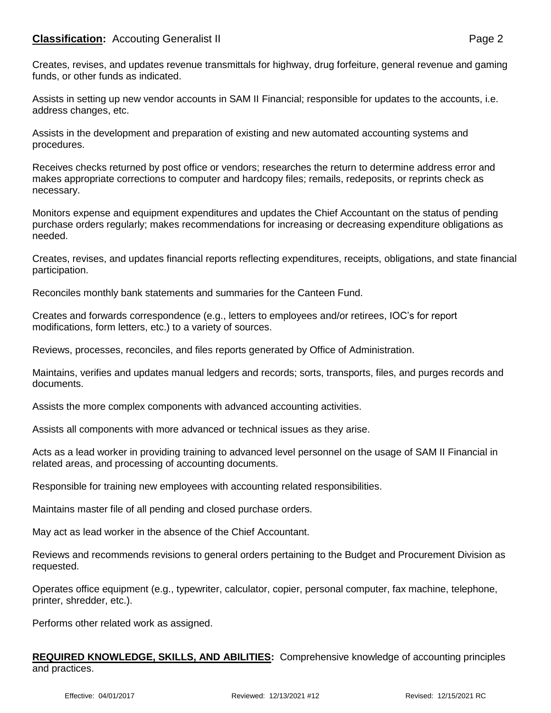## **Classification:** Accouting Generalist II **Page 2**

**Assists in setting up new vendor accounts in SAM II Financial; responsible for updates to the accounts, i.e. address changes, etc.**

**Assists in the development and preparation of existing and new automated accounting systems and procedures.**

**Receives checks returned by post office or vendors; researches the return to determine address error and makes appropriate corrections to computer and hardcopy files; remails, redeposits, or reprints check as necessary.**

**Monitors expense and equipment expenditures and updates the Chief Accountant on the status of pending purchase orders regularly; makes recommendations for increasing or decreasing expenditure obligations as needed.**

**Creates, revises, and updates financial reports reflecting expenditures, receipts, obligations, and state financial participation.**

**Reconciles monthly bank statements and summaries for the Canteen Fund.**

**Creates and forwards correspondence (e.g., letters to employees and/or retirees, IOC's for report modifications, form letters, etc.) to a variety of sources.**

**Reviews, processes, reconciles, and files reports generated by Office of Administration.**

**Maintains, verifies and updates manual ledgers and records; sorts, transports, files, and purges records and documents.**

**Assists the more complex components with advanced accounting activities.**

**Assists all components with more advanced or technical issues as they arise.**

**Acts as a lead worker in providing training to advanced level personnel on the usage of SAM II Financial in related areas, and processing of accounting documents.**

**Responsible for training new employees with accounting related responsibilities.**

**Maintains master file of all pending and closed purchase orders.**

**May act as lead worker in the absence of the Chief Accountant.**

**Reviews and recommends revisions to general orders pertaining to the Budget and Procurement Division as requested.**

**Operates office equipment (e.g., typewriter, calculator, copier, personal computer, fax machine, telephone, printer, shredder, etc.).**

Performs other related work as assigned.

## **REQUIRED KNOWLEDGE, SKILLS, AND ABILITIES: Comprehensive knowledge of accounting principles and practices.**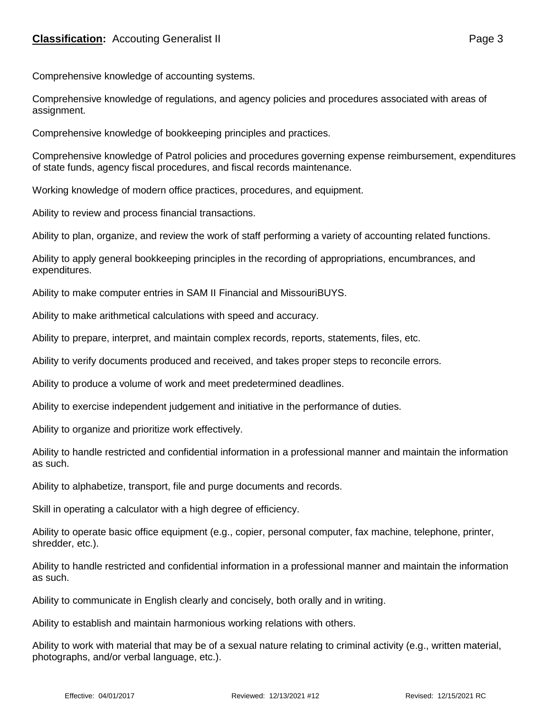**Comprehensive knowledge of accounting systems.**

**Comprehensive knowledge of regulations, and agency policies and procedures associated with areas of assignment.**

**Comprehensive knowledge of bookkeeping principles and practices.**

**Comprehensive knowledge of Patrol policies and procedures governing expense reimbursement, expenditures of state funds, agency fiscal procedures, and fiscal records maintenance.**

**Working knowledge of modern office practices, procedures, and equipment.**

**Ability to review and process financial transactions.**

**Ability to plan, organize, and review the work of staff performing a variety of accounting related functions.**

**Ability to apply general bookkeeping principles in the recording of appropriations, encumbrances, and expenditures.**

**Ability to make computer entries in SAM II Financial and MissouriBUYS.**

**Ability to make arithmetical calculations with speed and accuracy.**

**Ability to prepare, interpret, and maintain complex records, reports, statements, files, etc.**

**Ability to verify documents produced and received, and takes proper steps to reconcile errors.**

**Ability to produce a volume of work and meet predetermined deadlines.**

**Ability to exercise independent judgement and initiative in the performance of duties.**

**Ability to organize and prioritize work effectively.**

**Ability to handle restricted and confidential information in a professional manner and maintain the information as such.**

**Ability to alphabetize, transport, file and purge documents and records.**

**Skill in operating a calculator with a high degree of efficiency.**

**Ability to operate basic office equipment (e.g., copier, personal computer, fax machine, telephone, printer, shredder, etc.).**

Ability to handle restricted and confidential information in a professional manner and maintain the information as such.

Ability to communicate in English clearly and concisely, both orally and in writing.

Ability to establish and maintain harmonious working relations with others.

Ability to work with material that may be of a sexual nature relating to criminal activity (e.g., written material, photographs, and/or verbal language, etc.).